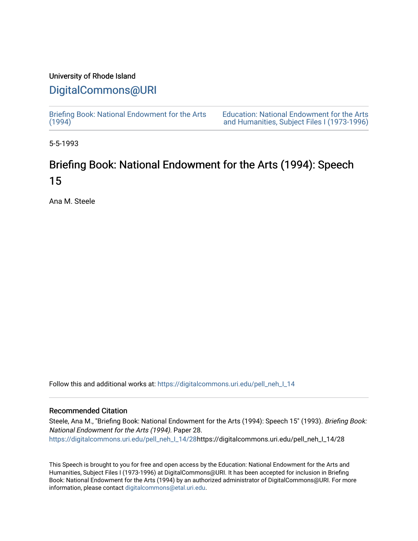## University of Rhode Island

## [DigitalCommons@URI](https://digitalcommons.uri.edu/)

[Briefing Book: National Endowment for the Arts](https://digitalcommons.uri.edu/pell_neh_I_14)  $(1994)$ 

[Education: National Endowment for the Arts](https://digitalcommons.uri.edu/pell_neh_I)  [and Humanities, Subject Files I \(1973-1996\)](https://digitalcommons.uri.edu/pell_neh_I) 

5-5-1993

# Briefing Book: National Endowment for the Arts (1994): Speech 15

Ana M. Steele

Follow this and additional works at: [https://digitalcommons.uri.edu/pell\\_neh\\_I\\_14](https://digitalcommons.uri.edu/pell_neh_I_14?utm_source=digitalcommons.uri.edu%2Fpell_neh_I_14%2F28&utm_medium=PDF&utm_campaign=PDFCoverPages) 

## Recommended Citation

Steele, Ana M., "Briefing Book: National Endowment for the Arts (1994): Speech 15" (1993). Briefing Book: National Endowment for the Arts (1994). Paper 28. [https://digitalcommons.uri.edu/pell\\_neh\\_I\\_14/28h](https://digitalcommons.uri.edu/pell_neh_I_14/28?utm_source=digitalcommons.uri.edu%2Fpell_neh_I_14%2F28&utm_medium=PDF&utm_campaign=PDFCoverPages)ttps://digitalcommons.uri.edu/pell\_neh\_I\_14/28

This Speech is brought to you for free and open access by the Education: National Endowment for the Arts and Humanities, Subject Files I (1973-1996) at DigitalCommons@URI. It has been accepted for inclusion in Briefing Book: National Endowment for the Arts (1994) by an authorized administrator of DigitalCommons@URI. For more information, please contact [digitalcommons@etal.uri.edu.](mailto:digitalcommons@etal.uri.edu)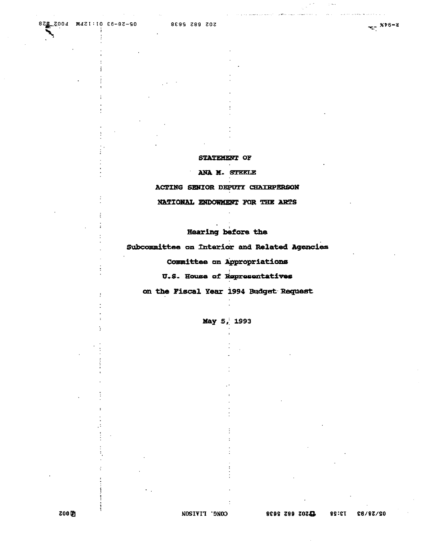### STATEMENT OF

#### ANA M. STEELE

ACTING SENIOR DEPUTY CHAIRPERSON

#### NATIONAL ENDOWMENT FOR THE ARTS

## Hearing before the

Subcommittee on Interior and Related Agencies

## Committee on Appropriations

U.S. House of Representatives

on the Fiscal Year 1994 Budget Request

May 5, 1993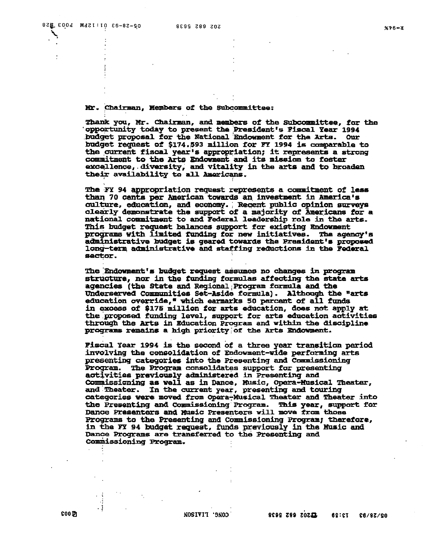#### Mr. Chairman, Members of the Subcommittee:

Thank you, Mr. Chairman, and members of the Subcommittee, for the opportunity today to present the President's Fiscal Year 1994 budget proposal for the National Endowment for the Arts. **Our** budget request of \$174.593 million for FY 1994 is comparable to the current fiscal year's appropriation; it represents a strong commutment to the Arts Endowment and its mission to foster excellence, diversity, and vitality in the arts and to broaden their availability to all Americans.

The FY 94 appropriation request represents a commitment of less than 70 cents per American towards an investment in America's culture, education, and economy. Recent public opinion surveys clearly demonstrate the support of a majority of Americans for a national commitment to and Federal leadership role in the arts. This budget request balances support for existing Endowment programs with limited funding for new initiatives. The agency's administrative budget is geared towards the President's proposed long-term administrative and staffing reductions in the Federal sector.

The Endowment's budget request assumes no changes in program structure, nor in the funding formulas affecting the state arts agencies (the State and Regional; Program formula and the Underserved Communities Set-Aside formula). Although the "arts education override," which earmarks 50 parcent of all funds in excess of \$175 million for arts education, does not apply at the proposed funding level, support for arts education activities through the Arts in Education Program and within the discipline programs remains a high priority of the Arts Endowment.

Fiscal Year 1994 is the second of a three year transition pariod involving the consolidation of Endowment-wide performing arts presenting categories into the Presenting and Commissioning Program. The Program consolidates support for presenting activities previously administered in Presenting and Commissioning as well as in Dance, Music, Opera-Musical Theater, and Theater. In the current year, presenting and touring categories were moved from Opera-Musical Theater and Theater into the Presenting and Commissioning Program. This year, support for Dance Presenters and Music Presenters will move from those Programs to the Presenting and Commissioning Program; therefore, in the FY 94 budget request, funds previously in the Music and Dance Programs are transferred to the Presenting and Commissioning Program.

- 1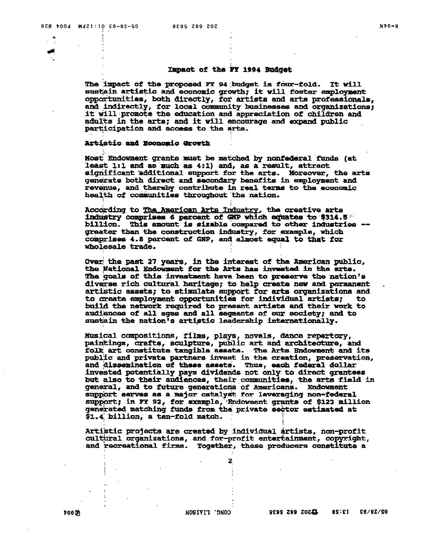#### Impact of the FY 1994 Budget

The impact of the proposed FY 94 budget is four-fold. It will sustain artistic and economic growth, it will fostar employment opportunities, both directly, for artists and arts professionals, and indirectly, for local community businesses and organizations; it will promote the education and appreciation of children and adults in the arts; and it will encourage and expand public participation and access to the arts.

#### **Artistic and Economic Growth**

Most Endowment grants must be matched by nonfederal funds (at least 1:1 and as much as 4:1) and, as a result, attract significant additional support for the arts. Moreover, the arts generate both direct and secondary benefits in employment and revenue, and thereby contribute in real terms to the economic health of communities throughout the nation.

According to The American Arts Industry, the creative arts industry comprises 6 percent of GNP which equates to \$314.5 \*\* billion. This amount is sizable compared to other industries -greater than the construction industry, for example, which comprises 4.8 percent of GNP, and almost equal to that for wholesale trade.

Over the past 27 years, in the interest of the American public, the National Endowment for the Arts has invested in the arts. The goals of this investment have been to preserve the nation's diverse rich cultural haritage; to help create new and permanent artistic assets; to stimulate support for arts organizations and to create employment opportunities for individual artists; to. build the network required to present artists and their work to audiences of all ages and all segments of our society; and to sustain the nation's artistic leadership internationally.

Musical compositions, films, plays, novels, dance repertory, paintings, crafts, sculpture, public art and architecture, and folk art constitute tangible assets. The Arts Endowment and its public and private partners invest in the creation, preservation, and dissemination of these assets. Thus, each federal dollar invested potentially pays dividends not only to direct grantees but also to their audiences, their communities, the arts field in general, and to future generations of Americans. Endowment support serves as a major catalyst for leveraging non-federal support; in FY 92, for example, Endowment grants of \$123 million generated matching funds from the private sector estimated at \$1.4 billion, a ten-fold match.

Artistic projects are created by individual artists, non-profit cultural organizations, and for-profit entertainment, copyright, and recreational firms. Together, these producers constitute a

2

700 DI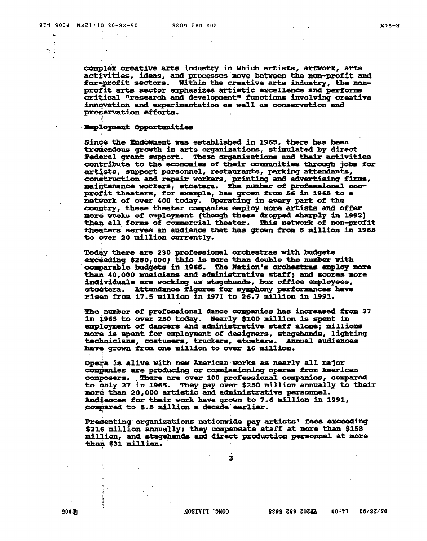$\bullet$  $\cdot$  $\mathcal{N}_{\mathcal{A}}$ 

complex creative arts industry in which artists, artwork, arts activities. ideas, and processes move between the non-profit and for-profit sectors. Within the creative arts industry, the nonprofit arts sector emphasizes artistic excellence and performs critical "research and development" functions involving creative innovation and experimentation as well as conservation and preservation efforts.

#### **Employment Opportunities**

Since the Endowment was established in 1965, there has been tremendous growth in arts organizations, stimulated by direct Pederal grant support. These organizations and their activities contribute to the economies of their communities through jobs for artists, support personnel, restaurants, parking attendants, construction and repair workers, printing and advertising firms, maintenance workers, etcetera. The number of professional nonprofit theaters, for example, has grown from 56 in 1965 to a network of over 400 today. Operating in every part of the country, these thenter companies employ more artists and offer more weeks of employment (though these dropped sharply in 1992) than all forms of commercial theater. This network of non-profit theaters serves an audience that has grown from 5 million in 1965 to over 20 million currently.

Today there are 230 professional orchestras with budgets exceeding \$280,000; this is more than double the number with comparable budgets in 1965. The Nation's orchestras employ more than 40,000 musicians and administrative staff; and scores more individuals are working as stagehands, box office employees, etcetera. Attendance figures for symphony performances have risen from 17.5 million in 1971 to 26.7 million in 1991.

The number of professional dance companies has increased from 37 in 1965 to over 250 today. Nearly \$100 million is spent in employment of dancers and administrative staff alone; millions more is spent for employment of designers, stagehands, lighting technicians, costumers, truckers, etcetera. Annual audiences have grown from one million to over 16 million.

Opera is alive with new American works as nearly all major companies are producing or commissioning operas from American composers. There are over 100 professional companies, compared<br>to only 27 in 1965. They pay over \$250 million annually to their<br>more than 20,000 artistic and administrative personnel. **Audiences for their work have grown to 7.6 million in 1991,** compared to 5.5 million a decade earlier.

Presenting organizations nationwide pay artists' fees exceeding \$216 million annually; they compensate staff at more than \$158 million, and stagehands and direct production personnel at more than \$31 million.

3

**CONC. LIAISON** 

 $900D$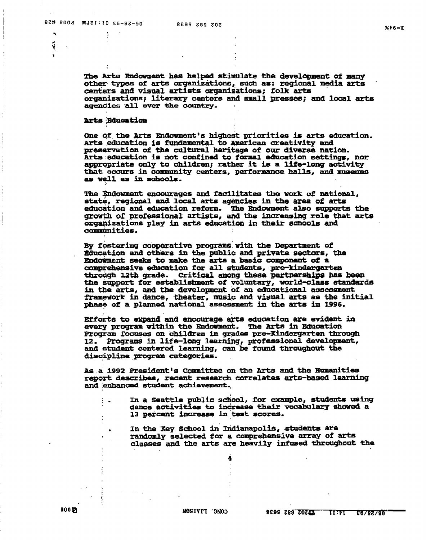ú

The Arts Endowment has helped stimulate the development of many other types of arts organizations, such as: regional media arts centers and visual artists organizations; folk arts organizations; literary centers and small presses; and local arts agencies all over the country.

#### **Arts Bducation**

One of the Arts Endowment's highest priorities is arts education. Arts education is fundamental to American creativity and preservation of the cultural heritage of our diverse nation. Arts education is not confined to formal education settings, nor appropriate only to children; rather it is a life-long activity that occurs in community centers, performance halls, and museums as well as in schools.

The Endowment encourages and facilitates the work of national, state, regional and local arts agencies in the area of arts education and education reform. The Endowment also supports the growth of professional artists, and the increasing role that arts organizations play in arts education in their schools and communities.

By fostering cooperative programs with the Department of Education and others in the public and private sectors, the Endowment seeks to make the arts a basic component of a comprehensive education for all students, pre-kindergarten through 12th grade. Critical among these partnerships has been the support for establishment of voluntary, world-class standards in the arts, and the development of an educational assessment framework in dance, theater, music and visual arts as the initial phase of a planned national assessment in the arts in 1996.

Efforts to expand and encourage arts education are evident in every program within the Rndowment. The Arts in Education Program focuses on children in grades pre-Kindergarten through 12. Programs in life-long learning, professional development, and student centered learning, can be found throughout the discipline program categories.

As a 1992 President's Committee on the Arts and the Humanities report describes, recent research correlates arts-based learning and enhanced student achievement.

- In a Seattle public school, for example, students using dance activities to increase their vocabulary showed a 13 percent increase in test scores.
	- In the Key School in Indianapolis, students are randomly selected for a comprehensive array of arts classes and the arts are heavily infused throughout the

4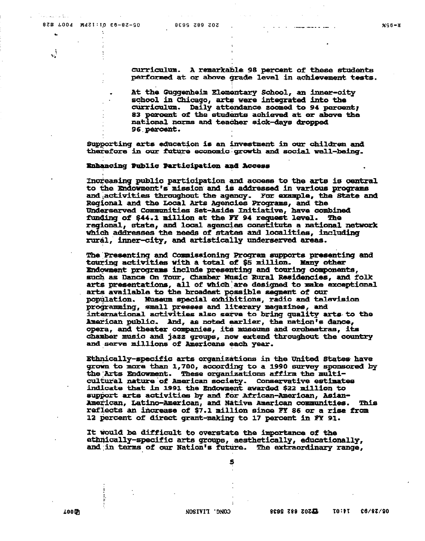المنكامات للمراسمات

 $\ddot{\phantom{0}}$ 

J.

curriculum. A remarkable 98 percent of these students performed at or above grade level in achievement tests.

At the Guggenheim Elementary School, an inner-city school in Chicago, arts were integrated into the curriculum. Daily attendance zoomed to 94 percent; 83 percent of the students achieved at or above the national norms and teacher sick-days dropped 96 percent.

Supporting arts education is an investment in our children and therefore in our future economic growth and social well-being.

## Enhancing Public Participation and Access

Increasing public participation and access to the arts is central to the Endowment's mission and is addressed in various programs and activities throughout the agency. For example, the State and Regional and the Local Arts Agencies Programs, and the Underserved Communities Set-Aside Initiative, have combined funding of \$44.1 million at the FY 94 request level. The regional, state, and local agencies constitute a national network which addresses the needs of states and localities, including rural, inner-city, and artistically underserved areas.

The Presenting and Commissioning Program supports presenting and touring activities with a total of \$5 million. Many other Endowment programs include presenting and touring components, such as Dance On Tour, Chamber Music Rural Residencies, and folk<br>arts presentations, all of which are designed to make exceptional arts available to the broadest possible segment of our population. Museum special exhibitions, radio and television programming, small presses and literary magazines, and international activities also serve to bring quality arts to the Amarican public. And, as noted earlier, the nation's dance, opera, and theater companies, its museums and orchestras, its chamber music and jazz groups, now extend throughout the country and serve millions of Americans each year.

Ethnically-specific arts organizations in the United States have grown to more than 1,700, according to a 1990 survey sponsored by the Arts Endowment. These organizations affirm the multicultural nature of American society. Conservative estimates indicate that in 1991 the Endowment awarded \$22 million to support arts activities by and for African-American, Asian-American, Latino-American, and Native American communities. Thi<br>reflects an increase of \$7.1 million since FY 86 or a rise from This 12 percent of direct grant-making to 17 percent in FY 91.

It would be difficult to overstate the importance of the ethnically-specific arts groups, aesthetically, educationally, and in terms of our Nation's future. The extraordinary range,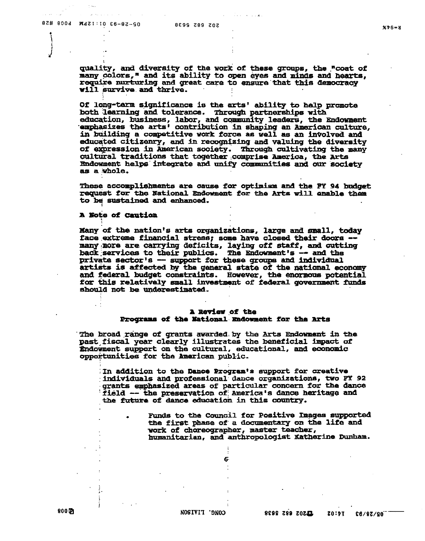quality, and diversity of the work of these groups, the "coat of many colors," and its ability to open eyes and minds and hearts, require nurturing and great care to ensure that this democracy will survive and thrive.

Of long-tarm significance is the arts' ability to help promote both learning and tolerance. Through partnerships with education, business, labor, and community leaders, the Endowment emphasizes the arts' contribution in shaping an American culture, in building a competitive work force as well as an involved and educated citizenry, and in recognizing and valuing the diversity of expression in American society. Through cultivating the many cultural traditions that together comprise America, the Arts Endowment helps integrate and unify communities and our society as a whole.

These accomplishments are cause for optimism and the FY 94 budget request for the National Endowment for the Arts will enable them to be sustained and enhanced.

#### **A Note of Caution**

Many of the nation's arts organizations, large and small, today face extreme financial stress; some have closed their doors -many more are carrying deficits, laying off staff, and cutting back services to their publics. The Endowment's -- and the private sector's -- support for these groups and individual artists is affected by the general state of the national economy and federal budget constraints. However, the enormous potential for this relatively small investment of federal government funds should not be underestimated.

#### **A Review of the** Programs of the National Endowment for the Arts

The broad range of grants awarded by the Arts Endowment in the past fiscal year clearly illustrates the beneficial impact of Endowment support on the cultural, educational, and economic opportunities for the American public.

In addition to the Dance Program's support for creative individuals and professional dance organizations, two FY 92 grants emphasized areas of particular concern for the dance field -- the preservation of America's dance heritage and the future of dance education in this country.

6

Funds to the Council for Positive Images supported the first phase of a documentary on the life and work of choreographer, master teacher, humanitarian, and anthropologist Katherine Dunham.

 $800D$